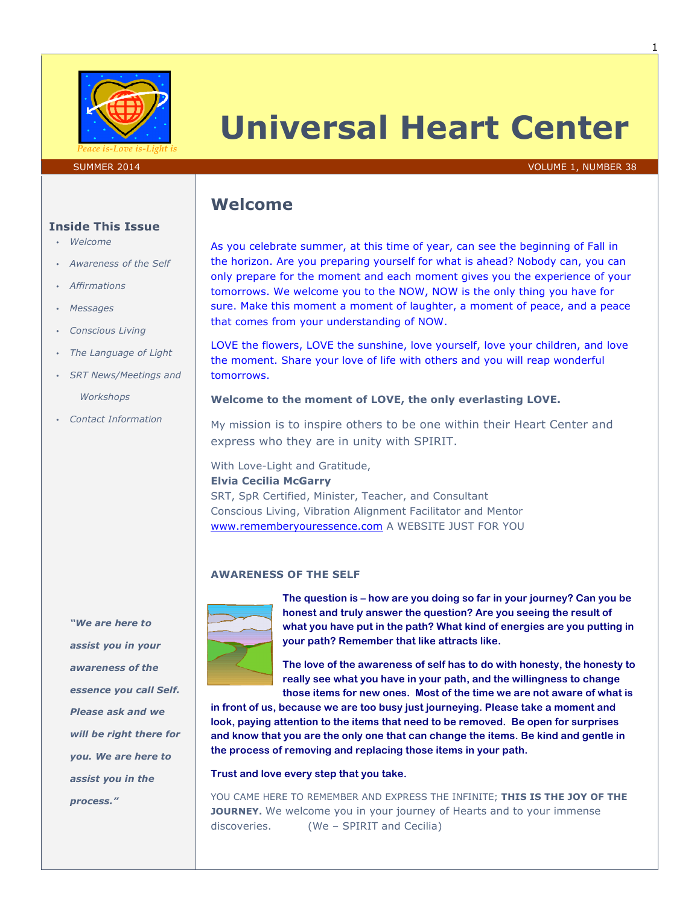

# **Universal Heart Center**

#### SUMMER 2014 **VOLUME 1, NUMBER 38**

# **Welcome**

As you celebrate summer, at this time of year, can see the beginning of Fall in the horizon. Are you preparing yourself for what is ahead? Nobody can, you can only prepare for the moment and each moment gives you the experience of your tomorrows. We welcome you to the NOW, NOW is the only thing you have for sure. Make this moment a moment of laughter, a moment of peace, and a peace that comes from your understanding of NOW.

LOVE the flowers, LOVE the sunshine, love yourself, love your children, and love the moment. Share your love of life with others and you will reap wonderful tomorrows.

### **Welcome to the moment of LOVE, the only everlasting LOVE.**

My mission is to inspire others to be one within their Heart Center and express who they are in unity with SPIRIT.

With Love-Light and Gratitude,

### **Elvia Cecilia McGarry**

SRT, SpR Certified, Minister, Teacher, and Consultant Conscious Living, Vibration Alignment Facilitator and Mentor www.rememberyouressence.com A WEBSITE JUST FOR YOU

### **AWARENESS OF THE SELF**



**The question is – how are you doing so far in your journey? Can you be honest and truly answer the question? Are you seeing the result of what you have put in the path? What kind of energies are you putting in your path? Remember that like attracts like.**

**The love of the awareness of self has to do with honesty, the honesty to really see what you have in your path, and the willingness to change those items for new ones. Most of the time we are not aware of what is** 

**in front of us, because we are too busy just journeying. Please take a moment and look, paying attention to the items that need to be removed. Be open for surprises and know that you are the only one that can change the items. Be kind and gentle in the process of removing and replacing those items in your path.**

### **Trust and love every step that you take.**

YOU CAME HERE TO REMEMBER AND EXPRESS THE INFINITE; **THIS IS THE JOY OF THE JOURNEY.** We welcome you in your journey of Hearts and to your immense discoveries. (We – SPIRIT and Cecilia)

### **Inside This Issue**

- *Welcome*
- *Awareness of the Self*
- *Affirmations*
- *Messages*
- *Conscious Living*
- *The Language of Light*
- *SRT News/Meetings and Workshops*
- *Contact Information*

*"We are here to assist you in your awareness of the essence you call Self. Please ask and we will be right there for you. We are here to assist you in the process."*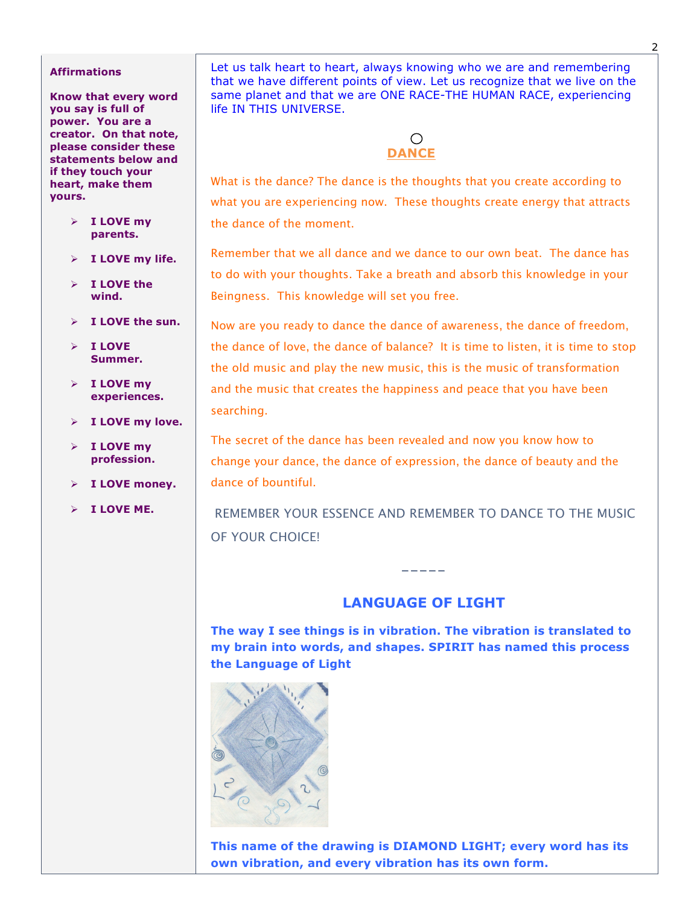### **Affirmations**

**Know that every word you say is full of power. You are a creator. On that note, please consider these statements below and if they touch your heart, make them yours.**

- Ø **I LOVE my parents.**
- Ø **I LOVE my life.**
- Ø **I LOVE the wind.**
- Ø **I LOVE the sun.**
- Ø **I LOVE Summer.**
- Ø **I LOVE my experiences.**
- Ø **I LOVE my love.**
- Ø **I LOVE my profession.**
- Ø **I LOVE money.**
- Ø **I LOVE ME.**

Let us talk heart to heart, always knowing who we are and remembering that we have different points of view. Let us recognize that we live on the same planet and that we are ONE RACE-THE HUMAN RACE, experiencing life IN THIS UNIVERSE.

# **DANCE**

What is the dance? The dance is the thoughts that you create according to what you are experiencing now. These thoughts create energy that attracts the dance of the moment.

Remember that we all dance and we dance to our own beat. The dance has to do with your thoughts. Take a breath and absorb this knowledge in your Beingness. This knowledge will set you free.

Now are you ready to dance the dance of awareness, the dance of freedom, the dance of love, the dance of balance? It is time to listen, it is time to stop the old music and play the new music, this is the music of transformation and the music that creates the happiness and peace that you have been searching.

The secret of the dance has been revealed and now you know how to change your dance, the dance of expression, the dance of beauty and the dance of bountiful.

REMEMBER YOUR ESSENCE AND REMEMBER TO DANCE TO THE MUSIC OF YOUR CHOICE!

# **LANGUAGE OF LIGHT**

-----

**The way I see things is in vibration. The vibration is translated to my brain into words, and shapes. SPIRIT has named this process the Language of Light**



**This name of the drawing is DIAMOND LIGHT; every word has its own vibration, and every vibration has its own form.**

2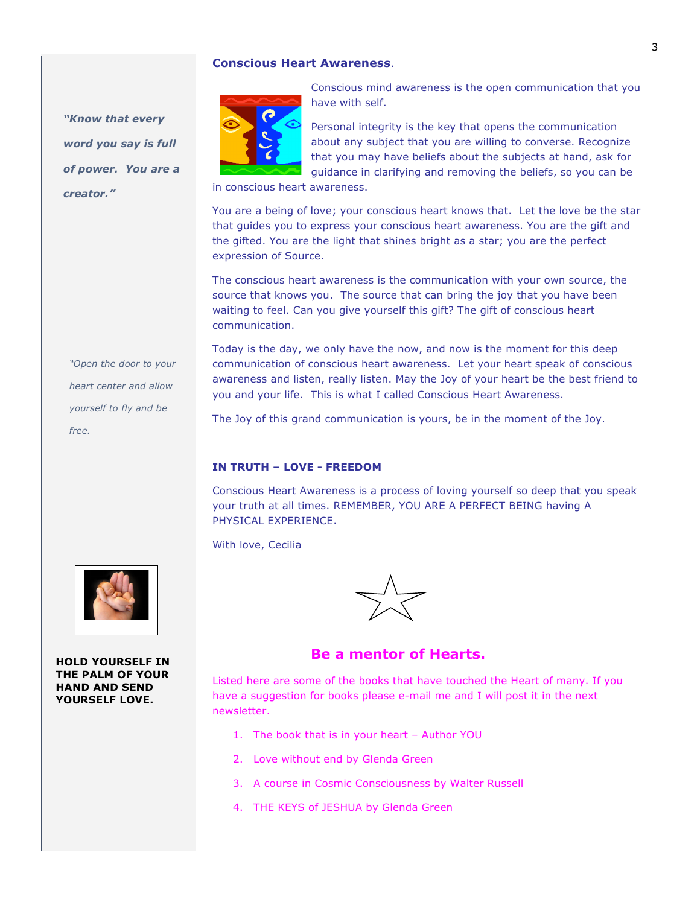### **Conscious Heart Awareness**.



*"Open the door to your heart center and allow yourself to fly and be free.*



**HOLD YOURSELF IN THE PALM OF YOUR HAND AND SEND YOURSELF LOVE.** 

Conscious mind awareness is the open communication that you have with self.

Personal integrity is the key that opens the communication about any subject that you are willing to converse. Recognize that you may have beliefs about the subjects at hand, ask for guidance in clarifying and removing the beliefs, so you can be

in conscious heart awareness.

You are a being of love; your conscious heart knows that. Let the love be the star that guides you to express your conscious heart awareness. You are the gift and the gifted. You are the light that shines bright as a star; you are the perfect expression of Source.

The conscious heart awareness is the communication with your own source, the source that knows you. The source that can bring the joy that you have been waiting to feel. Can you give yourself this gift? The gift of conscious heart communication.

Today is the day, we only have the now, and now is the moment for this deep communication of conscious heart awareness. Let your heart speak of conscious awareness and listen, really listen. May the Joy of your heart be the best friend to you and your life. This is what I called Conscious Heart Awareness.

The Joy of this grand communication is yours, be in the moment of the Joy.

### **IN TRUTH – LOVE - FREEDOM**

Conscious Heart Awareness is a process of loving yourself so deep that you speak your truth at all times. REMEMBER, YOU ARE A PERFECT BEING having A PHYSICAL EXPERIENCE.

With love, Cecilia



# **Be a mentor of Hearts.**

Listed here are some of the books that have touched the Heart of many. If you have a suggestion for books please e-mail me and I will post it in the next newsletter.

- 1. The book that is in your heart Author YOU
- 2. Love without end by Glenda Green
- 3. A course in Cosmic Consciousness by Walter Russell
- 4. THE KEYS of JESHUA by Glenda Green

3